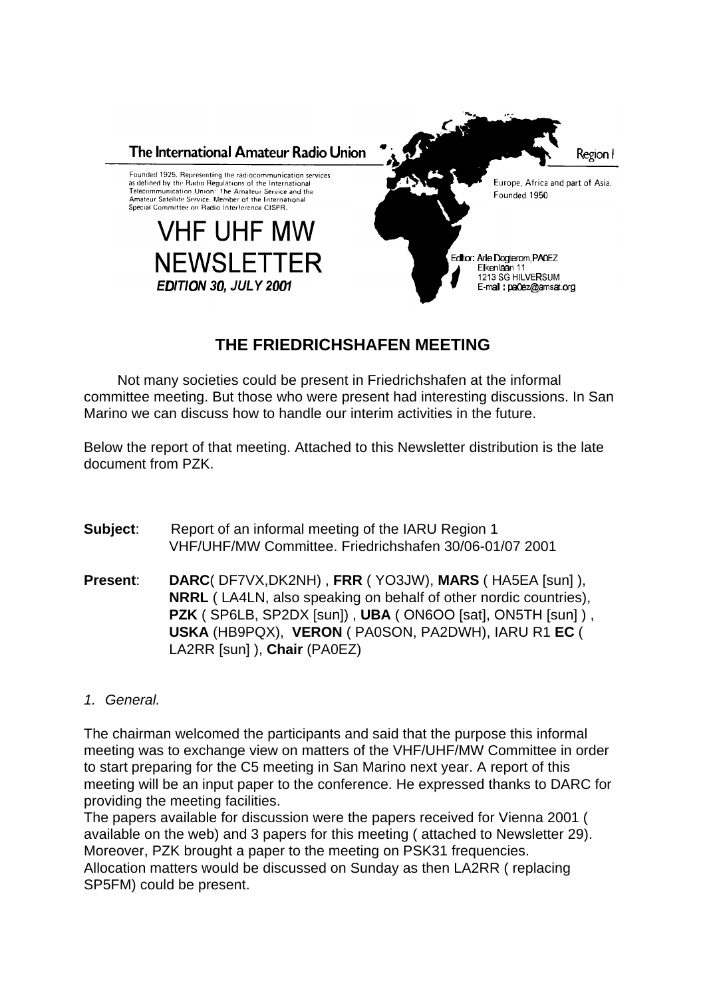

# **THE FRIEDRICHSHAFEN MEETING**

Not many societies could be present in Friedrichshafen at the informal committee meeting. But those who were present had interesting discussions. In San Marino we can discuss how to handle our interim activities in the future.

Below the report of that meeting. Attached to this Newsletter distribution is the late document from PZK.

- **Subject:** Report of an informal meeting of the IARU Region 1 VHF/UHF/MW Committee. Friedrichshafen 30/06-01/07 2001
- **Present**: **DARC**( DF7VX,DK2NH) , **FRR** ( YO3JW), **MARS** ( HA5EA [sun] ), **NRRL** ( LA4LN, also speaking on behalf of other nordic countries), **PZK** ( SP6LB, SP2DX [sun]) , **UBA** ( ON6OO [sat], ON5TH [sun] ) , **USKA** (HB9PQX), **VERON** ( PA0SON, PA2DWH), IARU R1 **EC** ( LA2RR [sun] ), **Chair** (PA0EZ)

## *1. General.*

The chairman welcomed the participants and said that the purpose this informal meeting was to exchange view on matters of the VHF/UHF/MW Committee in order to start preparing for the C5 meeting in San Marino next year. A report of this meeting will be an input paper to the conference. He expressed thanks to DARC for providing the meeting facilities.

The papers available for discussion were the papers received for Vienna 2001 ( available on the web) and 3 papers for this meeting ( attached to Newsletter 29). Moreover, PZK brought a paper to the meeting on PSK31 frequencies. Allocation matters would be discussed on Sunday as then LA2RR ( replacing SP5FM) could be present.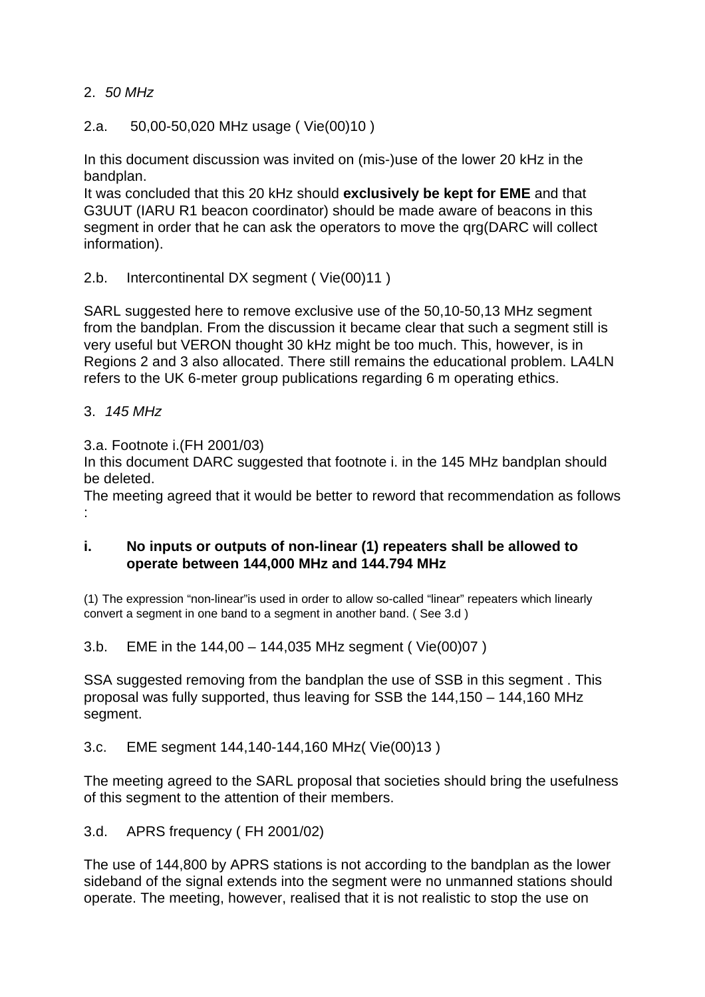### 2. *50 MHz*

2.a. 50,00-50,020 MHz usage ( Vie(00)10 )

In this document discussion was invited on (mis-)use of the lower 20 kHz in the bandplan.

It was concluded that this 20 kHz should **exclusively be kept for EME** and that G3UUT (IARU R1 beacon coordinator) should be made aware of beacons in this segment in order that he can ask the operators to move the qrg(DARC will collect information).

2.b. Intercontinental DX segment ( Vie(00)11 )

SARL suggested here to remove exclusive use of the 50,10-50,13 MHz segment from the bandplan. From the discussion it became clear that such a segment still is very useful but VERON thought 30 kHz might be too much. This, however, is in Regions 2 and 3 also allocated. There still remains the educational problem. LA4LN refers to the UK 6-meter group publications regarding 6 m operating ethics.

3. *145 MHz*

3.a. Footnote i.(FH 2001/03)

In this document DARC suggested that footnote i. in the 145 MHz bandplan should be deleted.

The meeting agreed that it would be better to reword that recommendation as follows :

### **i. No inputs or outputs of non-linear (1) repeaters shall be allowed to operate between 144,000 MHz and 144.794 MHz**

(1) The expression "non-linear"is used in order to allow so-called "linear" repeaters which linearly convert a segment in one band to a segment in another band. ( See 3.d )

3.b. EME in the 144,00 – 144,035 MHz segment ( Vie(00)07 )

SSA suggested removing from the bandplan the use of SSB in this segment . This proposal was fully supported, thus leaving for SSB the 144,150 – 144,160 MHz segment.

3.c. EME segment 144,140-144,160 MHz( Vie(00)13 )

The meeting agreed to the SARL proposal that societies should bring the usefulness of this segment to the attention of their members.

3.d. APRS frequency ( FH 2001/02)

The use of 144,800 by APRS stations is not according to the bandplan as the lower sideband of the signal extends into the segment were no unmanned stations should operate. The meeting, however, realised that it is not realistic to stop the use on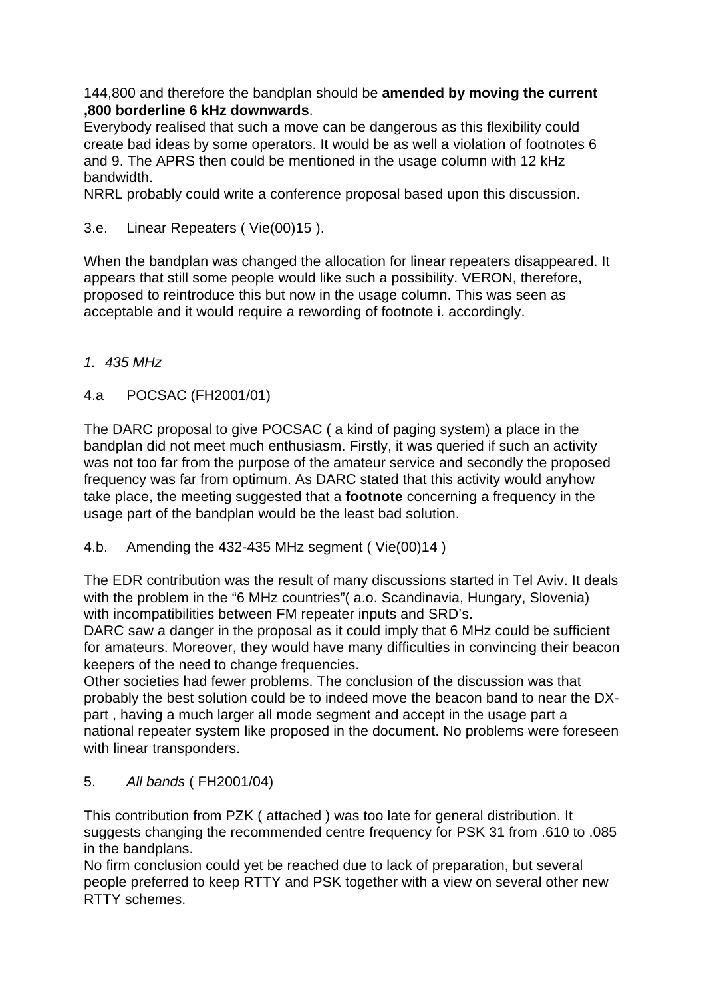144,800 and therefore the bandplan should be **amended by moving the current ,800 borderline 6 kHz downwards**.

Everybody realised that such a move can be dangerous as this flexibility could create bad ideas by some operators. It would be as well a violation of footnotes 6 and 9. The APRS then could be mentioned in the usage column with 12 kHz bandwidth.

NRRL probably could write a conference proposal based upon this discussion.

3.e. Linear Repeaters ( Vie(00)15 ).

When the bandplan was changed the allocation for linear repeaters disappeared. It appears that still some people would like such a possibility. VERON, therefore, proposed to reintroduce this but now in the usage column. This was seen as acceptable and it would require a rewording of footnote i. accordingly.

## *1. 435 MHz*

## 4.a POCSAC (FH2001/01)

The DARC proposal to give POCSAC ( a kind of paging system) a place in the bandplan did not meet much enthusiasm. Firstly, it was queried if such an activity was not too far from the purpose of the amateur service and secondly the proposed frequency was far from optimum. As DARC stated that this activity would anyhow take place, the meeting suggested that a **footnote** concerning a frequency in the usage part of the bandplan would be the least bad solution.

4.b. Amending the 432-435 MHz segment ( Vie(00)14 )

The EDR contribution was the result of many discussions started in Tel Aviv. It deals with the problem in the "6 MHz countries" (a.o. Scandinavia, Hungary, Slovenia) with incompatibilities between FM repeater inputs and SRD's.

DARC saw a danger in the proposal as it could imply that 6 MHz could be sufficient for amateurs. Moreover, they would have many difficulties in convincing their beacon keepers of the need to change frequencies.

Other societies had fewer problems. The conclusion of the discussion was that probably the best solution could be to indeed move the beacon band to near the DXpart , having a much larger all mode segment and accept in the usage part a national repeater system like proposed in the document. No problems were foreseen with linear transponders.

5. *All bands* ( FH2001/04)

This contribution from PZK ( attached ) was too late for general distribution. It suggests changing the recommended centre frequency for PSK 31 from .610 to .085 in the bandplans.

No firm conclusion could yet be reached due to lack of preparation, but several people preferred to keep RTTY and PSK together with a view on several other new RTTY schemes.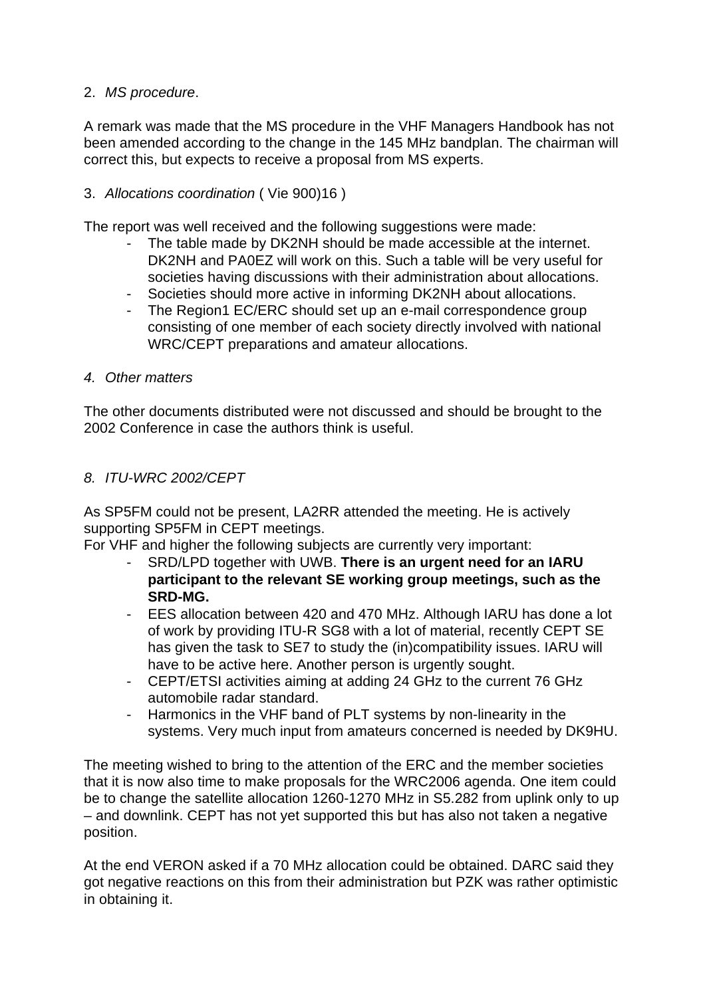## 2. *MS procedure*.

A remark was made that the MS procedure in the VHF Managers Handbook has not been amended according to the change in the 145 MHz bandplan. The chairman will correct this, but expects to receive a proposal from MS experts.

### 3. *Allocations coordination* ( Vie 900)16 )

The report was well received and the following suggestions were made:

- The table made by DK2NH should be made accessible at the internet. DK2NH and PA0EZ will work on this. Such a table will be very useful for societies having discussions with their administration about allocations.
- Societies should more active in informing DK2NH about allocations.
- The Region1 EC/ERC should set up an e-mail correspondence group consisting of one member of each society directly involved with national WRC/CEPT preparations and amateur allocations.
- *4. Other matters*

The other documents distributed were not discussed and should be brought to the 2002 Conference in case the authors think is useful.

## *8. ITU-WRC 2002/CEPT*

As SP5FM could not be present, LA2RR attended the meeting. He is actively supporting SP5FM in CEPT meetings.

For VHF and higher the following subjects are currently very important:

- SRD/LPD together with UWB. **There is an urgent need for an IARU participant to the relevant SE working group meetings, such as the SRD-MG.**
- EES allocation between 420 and 470 MHz. Although IARU has done a lot of work by providing ITU-R SG8 with a lot of material, recently CEPT SE has given the task to SE7 to study the (in)compatibility issues. IARU will have to be active here. Another person is urgently sought.
- CEPT/ETSI activities aiming at adding 24 GHz to the current 76 GHz automobile radar standard.
- Harmonics in the VHF band of PLT systems by non-linearity in the systems. Very much input from amateurs concerned is needed by DK9HU.

The meeting wished to bring to the attention of the ERC and the member societies that it is now also time to make proposals for the WRC2006 agenda. One item could be to change the satellite allocation 1260-1270 MHz in S5.282 from uplink only to up – and downlink. CEPT has not yet supported this but has also not taken a negative position.

At the end VERON asked if a 70 MHz allocation could be obtained. DARC said they got negative reactions on this from their administration but PZK was rather optimistic in obtaining it.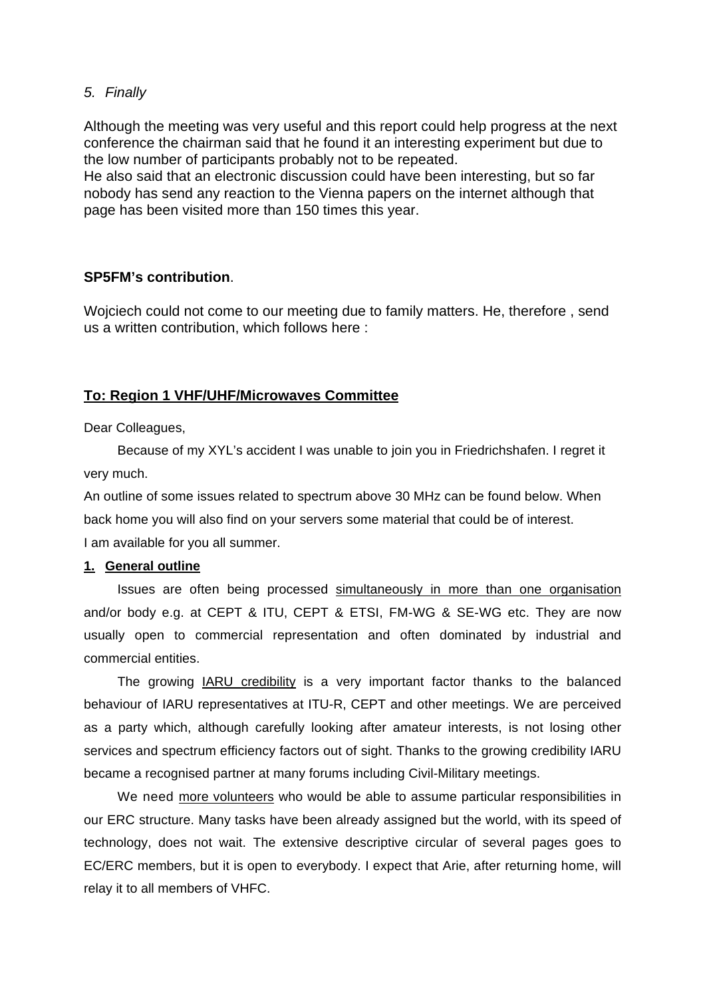### *5. Finally*

Although the meeting was very useful and this report could help progress at the next conference the chairman said that he found it an interesting experiment but due to the low number of participants probably not to be repeated.

He also said that an electronic discussion could have been interesting, but so far nobody has send any reaction to the Vienna papers on the internet although that page has been visited more than 150 times this year.

### **SP5FM's contribution**.

Wojciech could not come to our meeting due to family matters. He, therefore , send us a written contribution, which follows here :

### **To: Region 1 VHF/UHF/Microwaves Committee**

Dear Colleagues,

Because of my XYL's accident I was unable to join you in Friedrichshafen. I regret it very much.

An outline of some issues related to spectrum above 30 MHz can be found below. When back home you will also find on your servers some material that could be of interest. I am available for you all summer.

#### **1. General outline**

Issues are often being processed simultaneously in more than one organisation and/or body e.g. at CEPT & ITU, CEPT & ETSI, FM-WG & SE-WG etc. They are now usually open to commercial representation and often dominated by industrial and commercial entities.

The growing IARU credibility is a very important factor thanks to the balanced behaviour of IARU representatives at ITU-R, CEPT and other meetings. We are perceived as a party which, although carefully looking after amateur interests, is not losing other services and spectrum efficiency factors out of sight. Thanks to the growing credibility IARU became a recognised partner at many forums including Civil-Military meetings.

We need more volunteers who would be able to assume particular responsibilities in our ERC structure. Many tasks have been already assigned but the world, with its speed of technology, does not wait. The extensive descriptive circular of several pages goes to EC/ERC members, but it is open to everybody. I expect that Arie, after returning home, will relay it to all members of VHFC.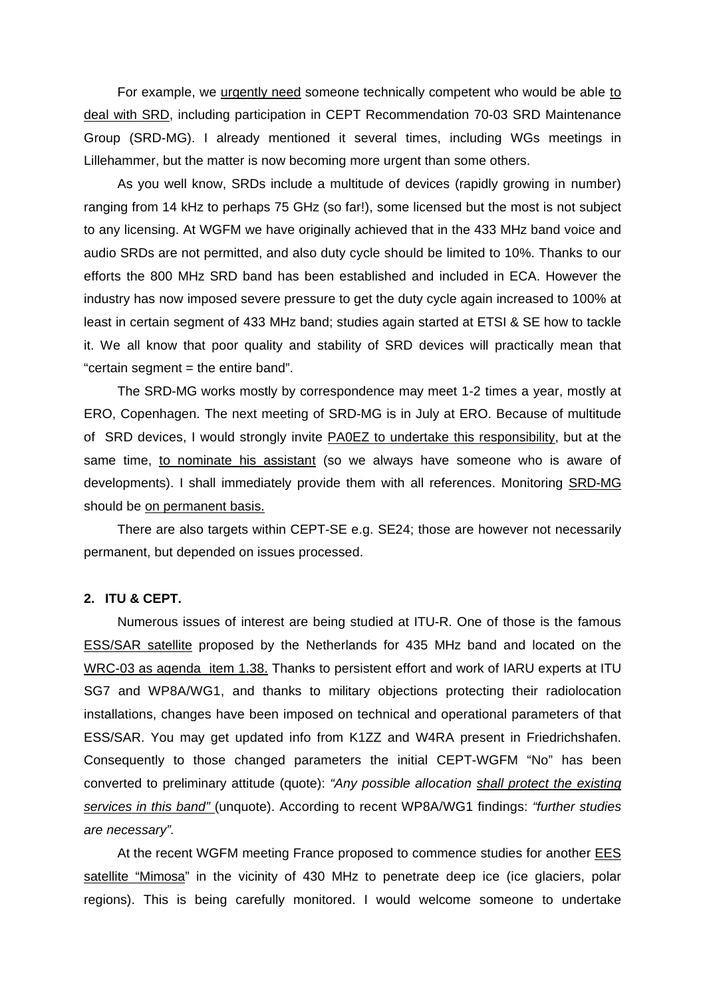For example, we urgently need someone technically competent who would be able to deal with SRD, including participation in CEPT Recommendation 70-03 SRD Maintenance Group (SRD-MG). I already mentioned it several times, including WGs meetings in Lillehammer, but the matter is now becoming more urgent than some others.

As you well know, SRDs include a multitude of devices (rapidly growing in number) ranging from 14 kHz to perhaps 75 GHz (so far!), some licensed but the most is not subject to any licensing. At WGFM we have originally achieved that in the 433 MHz band voice and audio SRDs are not permitted, and also duty cycle should be limited to 10%. Thanks to our efforts the 800 MHz SRD band has been established and included in ECA. However the industry has now imposed severe pressure to get the duty cycle again increased to 100% at least in certain segment of 433 MHz band; studies again started at ETSI & SE how to tackle it. We all know that poor quality and stability of SRD devices will practically mean that "certain segment = the entire band".

The SRD-MG works mostly by correspondence may meet 1-2 times a year, mostly at ERO, Copenhagen. The next meeting of SRD-MG is in July at ERO. Because of multitude of SRD devices, I would strongly invite PA0EZ to undertake this responsibility, but at the same time, to nominate his assistant (so we always have someone who is aware of developments). I shall immediately provide them with all references. Monitoring SRD-MG should be on permanent basis.

There are also targets within CEPT-SE e.g. SE24; those are however not necessarily permanent, but depended on issues processed.

#### **2. ITU & CEPT.**

Numerous issues of interest are being studied at ITU-R. One of those is the famous ESS/SAR satellite proposed by the Netherlands for 435 MHz band and located on the WRC-03 as agenda item 1.38. Thanks to persistent effort and work of IARU experts at ITU SG7 and WP8A/WG1, and thanks to military objections protecting their radiolocation installations, changes have been imposed on technical and operational parameters of that ESS/SAR. You may get updated info from K1ZZ and W4RA present in Friedrichshafen. Consequently to those changed parameters the initial CEPT-WGFM "No" has been converted to preliminary attitude (quote): *"Any possible allocation shall protect the existing services in this band"* (unquote). According to recent WP8A/WG1 findings: *"further studies are necessary".*

At the recent WGFM meeting France proposed to commence studies for another EES satellite "Mimosa" in the vicinity of 430 MHz to penetrate deep ice (ice glaciers, polar regions). This is being carefully monitored. I would welcome someone to undertake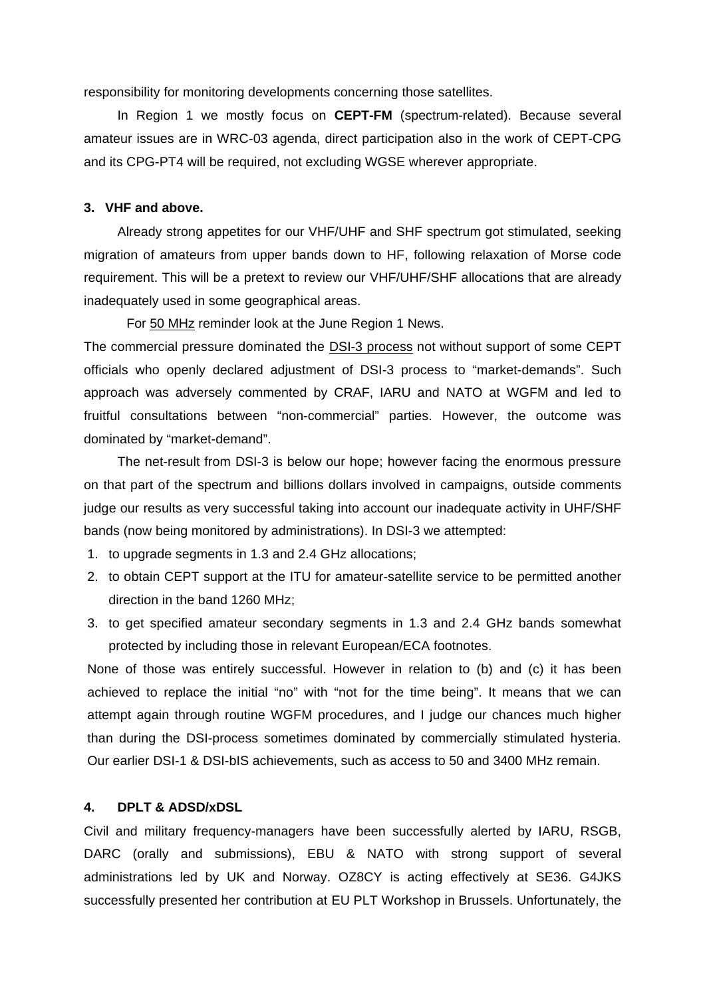responsibility for monitoring developments concerning those satellites.

In Region 1 we mostly focus on **CEPT-FM** (spectrum-related). Because several amateur issues are in WRC-03 agenda, direct participation also in the work of CEPT-CPG and its CPG-PT4 will be required, not excluding WGSE wherever appropriate.

#### **3. VHF and above.**

Already strong appetites for our VHF/UHF and SHF spectrum got stimulated, seeking migration of amateurs from upper bands down to HF, following relaxation of Morse code requirement. This will be a pretext to review our VHF/UHF/SHF allocations that are already inadequately used in some geographical areas.

For 50 MHz reminder look at the June Region 1 News.

The commercial pressure dominated the DSI-3 process not without support of some CEPT officials who openly declared adjustment of DSI-3 process to "market-demands". Such approach was adversely commented by CRAF, IARU and NATO at WGFM and led to fruitful consultations between "non-commercial" parties. However, the outcome was dominated by "market-demand".

The net-result from DSI-3 is below our hope; however facing the enormous pressure on that part of the spectrum and billions dollars involved in campaigns, outside comments judge our results as very successful taking into account our inadequate activity in UHF/SHF bands (now being monitored by administrations). In DSI-3 we attempted:

- 1. to upgrade segments in 1.3 and 2.4 GHz allocations;
- 2. to obtain CEPT support at the ITU for amateur-satellite service to be permitted another direction in the band 1260 MHz;
- 3. to get specified amateur secondary segments in 1.3 and 2.4 GHz bands somewhat protected by including those in relevant European/ECA footnotes.

None of those was entirely successful. However in relation to (b) and (c) it has been achieved to replace the initial "no" with "not for the time being". It means that we can attempt again through routine WGFM procedures, and I judge our chances much higher than during the DSI-process sometimes dominated by commercially stimulated hysteria. Our earlier DSI-1 & DSI-bIS achievements, such as access to 50 and 3400 MHz remain.

#### **4. DPLT & ADSD/xDSL**

Civil and military frequency-managers have been successfully alerted by IARU, RSGB, DARC (orally and submissions), EBU & NATO with strong support of several administrations led by UK and Norway. OZ8CY is acting effectively at SE36. G4JKS successfully presented her contribution at EU PLT Workshop in Brussels. Unfortunately, the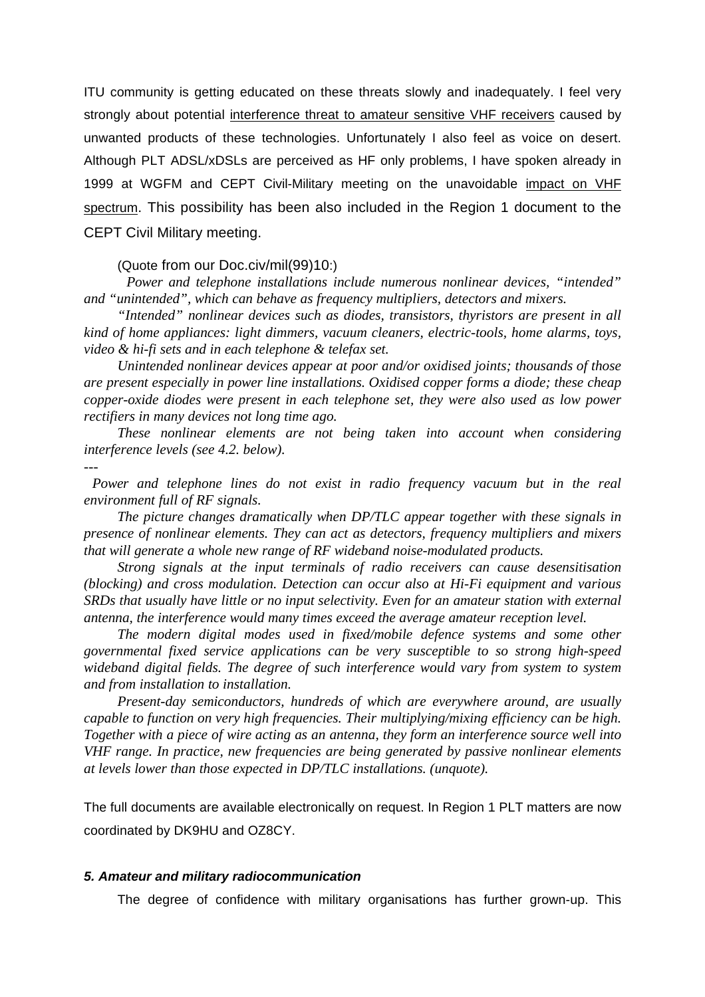ITU community is getting educated on these threats slowly and inadequately. I feel very strongly about potential interference threat to amateur sensitive VHF receivers caused by unwanted products of these technologies. Unfortunately I also feel as voice on desert. Although PLT ADSL/xDSLs are perceived as HF only problems, I have spoken already in 1999 at WGFM and CEPT Civil-Military meeting on the unavoidable impact on VHF spectrum. This possibility has been also included in the Region 1 document to the CEPT Civil Military meeting.

#### (Quote from our Doc.civ/mil(99)10:)

*Power and telephone installations include numerous nonlinear devices, "intended" and "unintended", which can behave as frequency multipliers, detectors and mixers.* 

*"Intended" nonlinear devices such as diodes, transistors, thyristors are present in all kind of home appliances: light dimmers, vacuum cleaners, electric-tools, home alarms, toys, video & hi-fi sets and in each telephone & telefax set.*

*Unintended nonlinear devices appear at poor and/or oxidised joints; thousands of those are present especially in power line installations. Oxidised copper forms a diode; these cheap copper-oxide diodes were present in each telephone set, they were also used as low power rectifiers in many devices not long time ago.*

*These nonlinear elements are not being taken into account when considering interference levels (see 4.2. below).*

*---*

*Power and telephone lines do not exist in radio frequency vacuum but in the real environment full of RF signals.*

*The picture changes dramatically when DP/TLC appear together with these signals in presence of nonlinear elements. They can act as detectors, frequency multipliers and mixers that will generate a whole new range of RF wideband noise-modulated products.*

*Strong signals at the input terminals of radio receivers can cause desensitisation (blocking) and cross modulation. Detection can occur also at Hi-Fi equipment and various SRDs that usually have little or no input selectivity. Even for an amateur station with external antenna, the interference would many times exceed the average amateur reception level.* 

*The modern digital modes used in fixed/mobile defence systems and some other governmental fixed service applications can be very susceptible to so strong high-speed wideband digital fields. The degree of such interference would vary from system to system and from installation to installation.*

*Present-day semiconductors, hundreds of which are everywhere around, are usually capable to function on very high frequencies. Their multiplying/mixing efficiency can be high. Together with a piece of wire acting as an antenna, they form an interference source well into VHF range. In practice, new frequencies are being generated by passive nonlinear elements at levels lower than those expected in DP/TLC installations. (unquote).*

The full documents are available electronically on request. In Region 1 PLT matters are now coordinated by DK9HU and OZ8CY.

#### *5. Amateur and military radiocommunication*

The degree of confidence with military organisations has further grown-up. This